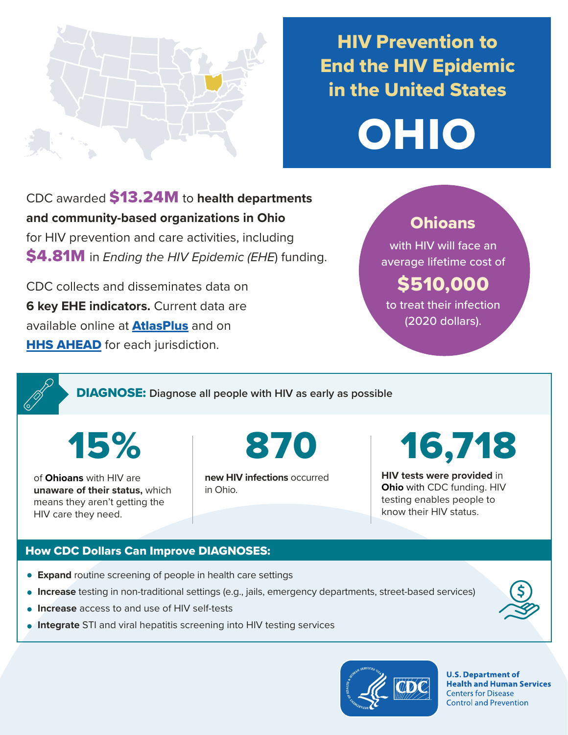

# HIV Prevention to End the HIV Epidemic in the United States



CDC awarded \$13.24M to **health departments and community-based organizations in Ohio**  for HIV prevention and care activities, including \$4.81M in *Ending the HIV Epidemic (EHE*) funding.

CDC collects and disseminates data on **6 key EHE indicators.** Current data are available online at **[AtlasPlus](https://www.cdc.gov/nchhstp/atlas/index.htm)** and on **[HHS AHEAD](https://ahead.hiv.gov/)** for each jurisdiction.

### **Ohioans**

with HIV will face an average lifetime cost of

# \$510,000

to treat their infection (2020 dollars).

DIAGNOSE: **Diagnose all people with HIV as early as possible** 

15%

of **Ohioans** with HIV are **unaware of their status,** which means they aren't getting the HIV care they need.

**new HIV infections** occurred in Ohio.

870 16,718

**HIV tests were provided** in **Ohio** with CDC funding. HIV testing enables people to know their HIV status.

### How CDC Dollars Can Improve DIAGNOSES:

- **Expand** routine screening of people in health care settings
- **Increase** testing in non-traditional settings (e.g., jails, emergency departments, street-based services)
- **Increase** access to and use of HIV self-tests
- **Integrate** STI and viral hepatitis screening into HIV testing services



**U.S. Department of Health and Human Services Centers for Disease Control and Prevention**